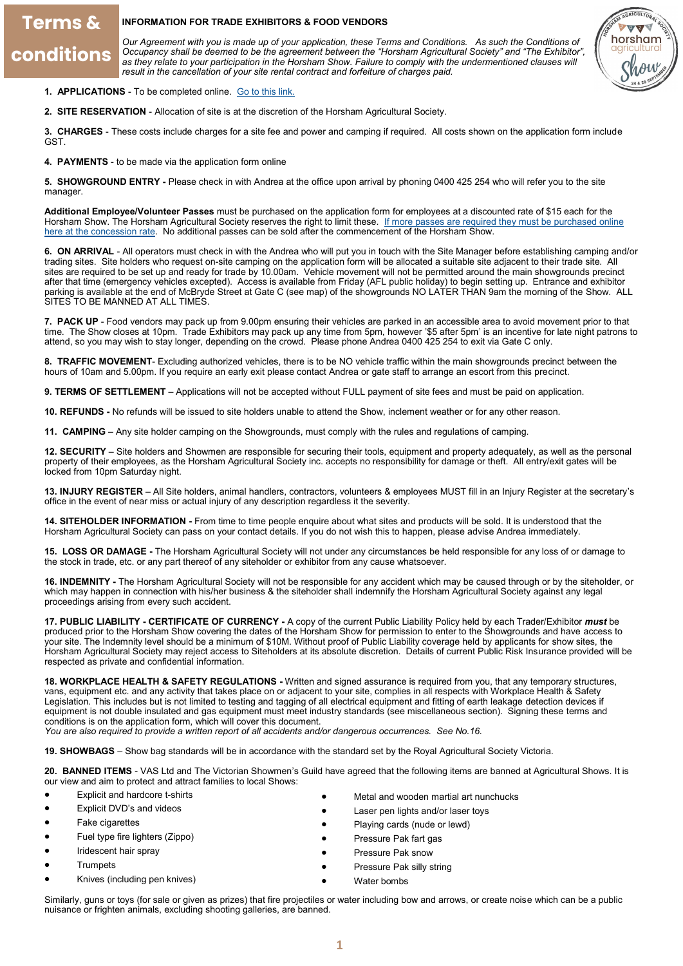# **Terms &** conditions

### **INFORMATION FOR TRADE EXHIBITORS & FOOD VENDORS**

*Our Agreement with you is made up of your application, these Terms and Conditions. As such the Conditions of Occupancy shall be deemed to be the agreement between the "Horsham Agricultural Society" and "The Exhibitor",*  as they relate to your participation in the Horsham Show. Failure to comply with the undermentioned clauses will *result in the cancellation of your site rental contract and forfeiture of charges paid.* 



- 1. **APPLICATIONS** To be completed online. [Go to this link.](https://form.jotform.com/202358411749053)
- **2. SITE RESERVATION**  Allocation of site is at the discretion of the Horsham Agricultural Society.

**3. CHARGES** - These costs include charges for a site fee and power and camping if required. All costs shown on the application form include GST.

**4. PAYMENTS** - to be made via the application form online

**5. SHOWGROUND ENTRY -** Please check in with Andrea at the office upon arrival by phoning 0400 425 254 who will refer you to the site manager.

**Additional Employee/Volunteer Passes** must be purchased on the application form for employees at a discounted rate of \$15 each for the Horsham Show. The Horsham Agricultural Society reserves the right to limit these. If more passes are required they must be purchased online [here at the concession rate.](https://www.trybooking.com/BSFHR) No additional passes can be sold after the commencement of the Horsham Show.

**6. ON ARRIVAL** - All operators must check in with the Andrea who will put you in touch with the Site Manager before establishing camping and/or trading sites. Site holders who request on-site camping on the application form will be allocated a suitable site adjacent to their trade site. All sites are required to be set up and ready for trade by 10.00am. Vehicle movement will not be permitted around the main showgrounds precinct after that time (emergency vehicles excepted). Access is available from Friday (AFL public holiday) to begin setting up. Entrance and exhibitor parking is available at the end of McBryde Street at Gate C (see map) of the showgrounds NO LATER THAN 9am the morning of the Show. ALL SITES TO BE MANNED AT ALL TIMES.

**7. PACK UP** - Food vendors may pack up from 9.00pm ensuring their vehicles are parked in an accessible area to avoid movement prior to that time. The Show closes at 10pm. Trade Exhibitors may pack up any time from 5pm, however '\$5 after 5pm' is an incentive for late night patrons to attend, so you may wish to stay longer, depending on the crowd. Please phone Andrea 0400 425 254 to exit via Gate C only.

**8. TRAFFIC MOVEMENT**- Excluding authorized vehicles, there is to be NO vehicle traffic within the main showgrounds precinct between the hours of 10am and 5.00pm. If you require an early exit please contact Andrea or gate staff to arrange an escort from this precinct.

**9. TERMS OF SETTLEMENT** – Applications will not be accepted without FULL payment of site fees and must be paid on application.

**10. REFUNDS -** No refunds will be issued to site holders unable to attend the Show, inclement weather or for any other reason.

**11. CAMPING** – Any site holder camping on the Showgrounds, must comply with the rules and regulations of camping.

**12. SECURITY** – Site holders and Showmen are responsible for securing their tools, equipment and property adequately, as well as the personal property of their employees, as the Horsham Agricultural Society inc. accepts no responsibility for damage or theft. All entry/exit gates will be locked from 10pm Saturday night.

**13. INJURY REGISTER** – All Site holders, animal handlers, contractors, volunteers & employees MUST fill in an Injury Register at the secretary's office in the event of near miss or actual injury of any description regardless it the severity.

**14. SITEHOLDER INFORMATION -** From time to time people enquire about what sites and products will be sold. It is understood that the Horsham Agricultural Society can pass on your contact details. If you do not wish this to happen, please advise Andrea immediately.

**15. LOSS OR DAMAGE -** The Horsham Agricultural Society will not under any circumstances be held responsible for any loss of or damage to the stock in trade, etc. or any part thereof of any siteholder or exhibitor from any cause whatsoever.

**16. INDEMNITY -** The Horsham Agricultural Society will not be responsible for any accident which may be caused through or by the siteholder, or which may happen in connection with his/her business & the siteholder shall indemnify the Horsham Agricultural Society against any legal proceedings arising from every such accident.

**17. PUBLIC LIABILITY - CERTIFICATE OF CURRENCY -** A copy of the current Public Liability Policy held by each Trader/Exhibitor *must* be produced prior to the Horsham Show covering the dates of the Horsham Show for permission to enter to the Showgrounds and have access to your site. The Indemnity level should be a minimum of \$10M. Without proof of Public Liability coverage held by applicants for show sites, the Horsham Agricultural Society may reject access to Siteholders at its absolute discretion. Details of current Public Risk Insurance provided will be respected as private and confidential information.

**18. WORKPLACE HEALTH & SAFETY REGULATIONS -** Written and signed assurance is required from you, that any temporary structures, vans, equipment etc. and any activity that takes place on or adjacent to your site, complies in all respects with Workplace Health & Safety Legislation. This includes but is not limited to testing and tagging of all electrical equipment and fitting of earth leakage detection devices if equipment is not double insulated and gas equipment must meet industry standards (see miscellaneous section). Signing these terms and conditions is on the application form, which will cover this document.

*You are also required to provide a written report of all accidents and/or dangerous occurrences. See No.16.*

**19. SHOWBAGS** – Show bag standards will be in accordance with the standard set by the Royal Agricultural Society Victoria.

**20. BANNED ITEMS** - VAS Ltd and The Victorian Showmen's Guild have agreed that the following items are banned at Agricultural Shows. It is our view and aim to protect and attract families to local Shows:

- Explicit and hardcore t-shirts
- Explicit DVD's and videos
- **Fake cigarettes**
- Fuel type fire lighters (Zippo)
- Iridescent hair spray
- **Trumpets**
- Knives (including pen knives)
- Metal and wooden martial art nunchucks
- Laser pen lights and/or laser toys
- Playing cards (nude or lewd)
- Pressure Pak fart gas
- Pressure Pak snow
- Pressure Pak silly string
- Water bombs

Similarly, guns or toys (for sale or given as prizes) that fire projectiles or water including bow and arrows, or create noise which can be a public nuisance or frighten animals, excluding shooting galleries, are banned.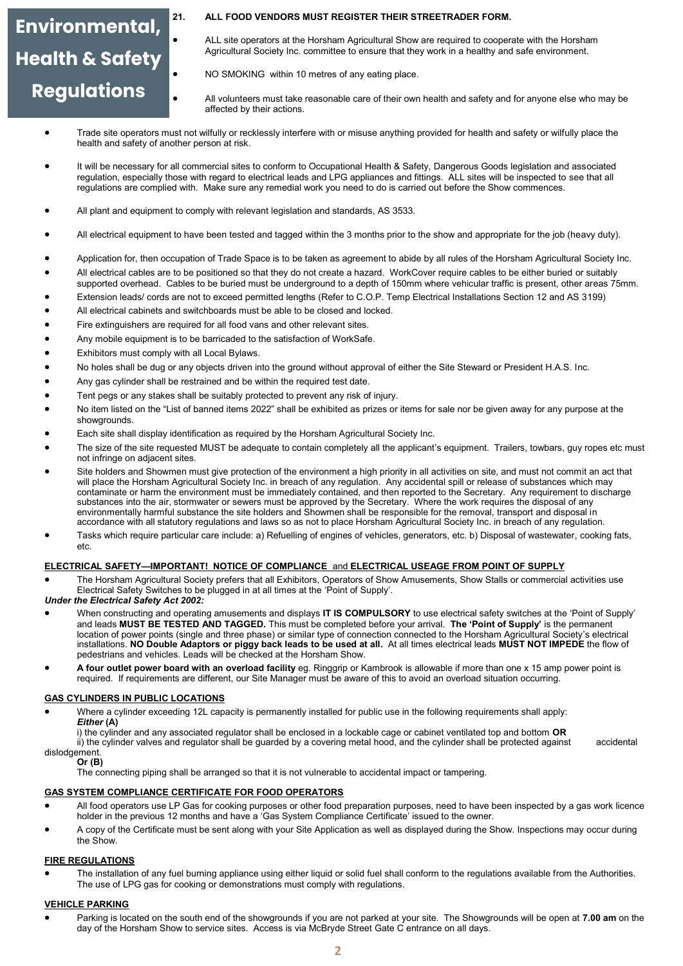# Environmental, **Health & Safety Regulations**

## **21. ALL FOOD VENDORS MUST REGISTER THEIR STREETRADER FORM.**

- ALL site operators at the Horsham Agricultural Show are required to cooperate with the Horsham Agricultural Society Inc. committee to ensure that they work in a healthy and safe environment.
- NO SMOKING within 10 metres of any eating place.
- All volunteers must take reasonable care of their own health and safety and for anyone else who may be affected by their actions.
- Trade site operators must not wilfully or recklessly interfere with or misuse anything provided for health and safety or wilfully place the health and safety of another person at risk.
- It will be necessary for all commercial sites to conform to Occupational Health & Safety, Dangerous Goods legislation and associated regulation, especially those with regard to electrical leads and LPG appliances and fittings. ALL sites will be inspected to see that all regulations are complied with. Make sure any remedial work you need to do is carried out before the Show commences.
- All plant and equipment to comply with relevant legislation and standards, AS 3533.
- All electrical equipment to have been tested and tagged within the 3 months prior to the show and appropriate for the job (heavy duty).
- Application for, then occupation of Trade Space is to be taken as agreement to abide by all rules of the Horsham Agricultural Society Inc.
- All electrical cables are to be positioned so that they do not create a hazard. WorkCover require cables to be either buried or suitably supported overhead. Cables to be buried must be underground to a depth of 150mm where vehicular traffic is present, other areas 75mm.
- Extension leads/ cords are not to exceed permitted lengths (Refer to C.O.P. Temp Electrical Installations Section 12 and AS 3199)
- All electrical cabinets and switchboards must be able to be closed and locked.
- Fire extinguishers are required for all food vans and other relevant sites.
- Any mobile equipment is to be barricaded to the satisfaction of WorkSafe.
- Exhibitors must comply with all Local Bylaws.
- No holes shall be dug or any objects driven into the ground without approval of either the Site Steward or President H.A.S. Inc.
- Any gas cylinder shall be restrained and be within the required test date.
- Tent pegs or any stakes shall be suitably protected to prevent any risk of injury.
- No item listed on the "List of banned items 2022" shall be exhibited as prizes or items for sale nor be given away for any purpose at the showgrounds.
- Each site shall display identification as required by the Horsham Agricultural Society Inc.
- The size of the site requested MUST be adequate to contain completely all the applicant's equipment. Trailers, towbars, quy ropes etc must not infringe on adjacent sites.
- Site holders and Showmen must give protection of the environment a high priority in all activities on site, and must not commit an act that will place the Horsham Agricultural Society Inc. in breach of any regulation. Any accidental spill or release of substances which may contaminate or harm the environment must be immediately contained, and then reported to the Secretary. Any requirement to discharge substances into the air, stormwater or sewers must be approved by the Secretary. Where the work requires the disposal of any environmentally harmful substance the site holders and Showmen shall be responsible for the removal, transport and disposal in accordance with all statutory regulations and laws so as not to place Horsham Agricultural Society Inc. in breach of any regulation.
- Tasks which require particular care include: a) Refuelling of engines of vehicles, generators, etc. b) Disposal of wastewater, cooking fats, etc.

#### **ELECTRICAL SAFETY—IMPORTANT! NOTICE OF COMPLIANCE** and **ELECTRICAL USEAGE FROM POINT OF SUPPLY**

- The Horsham Agricultural Society prefers that all Exhibitors, Operators of Show Amusements, Show Stalls or commercial activities use Electrical Safety Switches to be plugged in at all times at the 'Point of Supply'.
- *Under the Electrical Safety Act 2002:*
- When constructing and operating amusements and displays **IT IS COMPULSORY** to use electrical safety switches at the 'Point of Supply' and leads **MUST BE TESTED AND TAGGED.** This must be completed before your arrival. **The 'Point of Supply'** is the permanent location of power points (single and three phase) or similar type of connection connected to the Horsham Agricultural Society's electrical installations. **NO Double Adaptors or piggy back leads to be used at all.** At all times electrical leads **MUST NOT IMPEDE** the flow of pedestrians and vehicles. Leads will be checked at the Horsham Show.
- **A four outlet power board with an overload facility** eg. Ringgrip or Kambrook is allowable if more than one x 15 amp power point is required. If requirements are different, our Site Manager must be aware of this to avoid an overload situation occurring.

#### **GAS CYLINDERS IN PUBLIC LOCATIONS**

• Where a cylinder exceeding 12L capacity is permanently installed for public use in the following requirements shall apply: *Either* **(A)**

i) the cylinder and any associated regulator shall be enclosed in a lockable cage or cabinet ventilated top and bottom **OR** 

ii) the cylinder valves and regulator shall be guarded by a covering metal hood, and the cylinder shall be protected against accidental dislodgement.

#### **Or (B)**

The connecting piping shall be arranged so that it is not vulnerable to accidental impact or tampering.

#### **GAS SYSTEM COMPLIANCE CERTIFICATE FOR FOOD OPERATORS**

- All food operators use LP Gas for cooking purposes or other food preparation purposes, need to have been inspected by a gas work licence holder in the previous 12 months and have a 'Gas System Compliance Certificate' issued to the owner.
- A copy of the Certificate must be sent along with your Site Application as well as displayed during the Show. Inspections may occur during the Show.

# **FIRE REGULATIONS**

• The installation of any fuel burning appliance using either liquid or solid fuel shall conform to the regulations available from the Authorities. The use of LPG gas for cooking or demonstrations must comply with regulations.

#### **VEHICLE PARKING**

• Parking is located on the south end of the showgrounds if you are not parked at your site. The Showgrounds will be open at **7.00 am** on the day of the Horsham Show to service sites. Access is via McBryde Street Gate C entrance on all days.